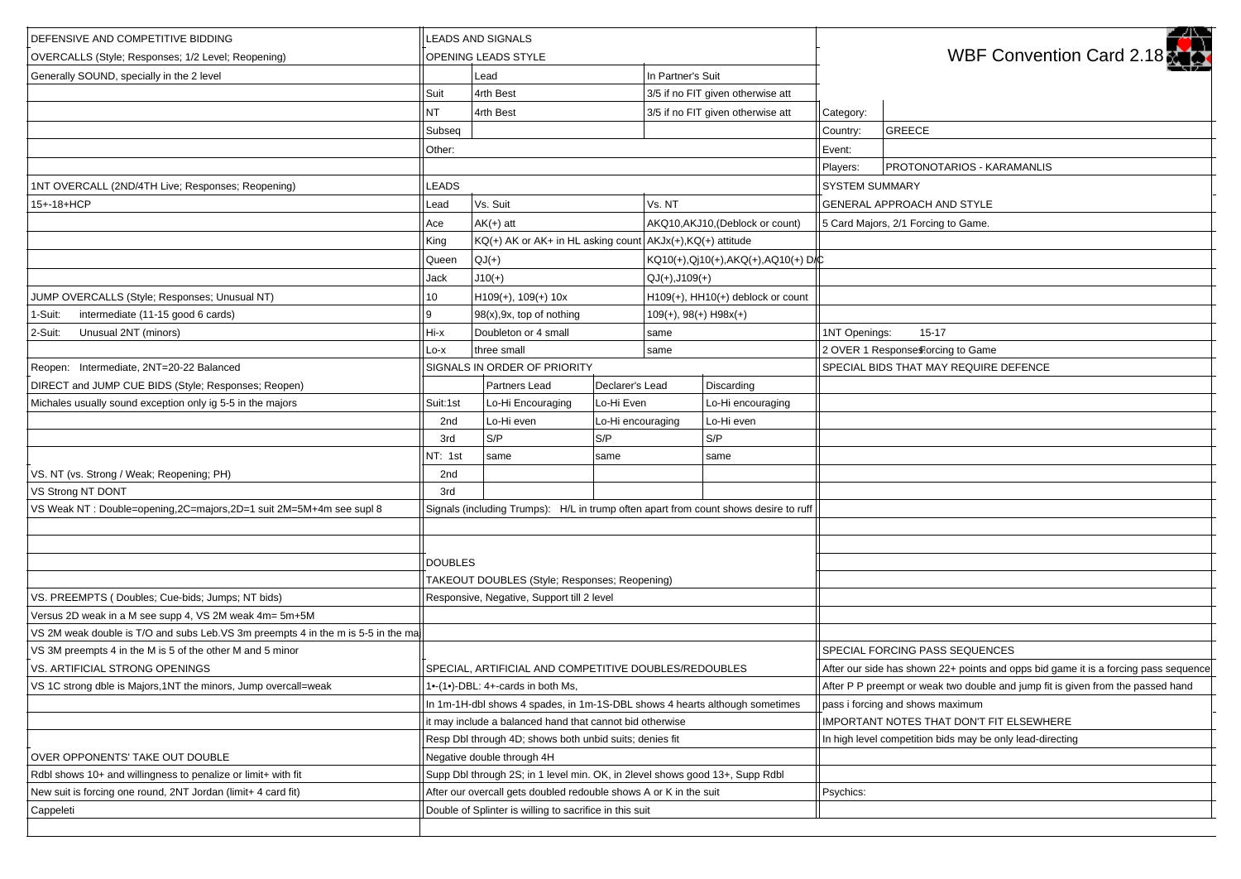| In Partner's Suit<br>Generally SOUND, specially in the 2 level<br>Lead<br>4rth Best<br>3/5 if no FIT given otherwise att<br>Suit<br><b>NT</b><br>4rth Best<br>3/5 if no FIT given otherwise att<br>Category:<br><b>GREECE</b><br>Subseq<br>Country:<br>Event:<br>Other:<br>PROTONOTARIOS - KARAMANLIS<br>Players:<br>1NT OVERCALL (2ND/4TH Live; Responses; Reopening)<br><b>LEADS</b><br><b>SYSTEM SUMMARY</b><br>15+-18+HCP<br>Vs. Suit<br>Vs. NT<br>GENERAL APPROACH AND STYLE<br>Lead<br>$AK(+)$ att<br>AKQ10,AKJ10,(Deblock or count)<br>5 Card Majors, 2/1 Forcing to Game.<br>Ace<br>$KQ(+)$ AK or AK+ in HL asking count $AKJx(+)$ , $KQ(+)$ attitude<br>King<br>$QJ(+)$<br>KQ10(+),Qj10(+),AKQ(+),AQ10(+)D/C<br>Queen<br>$J10(+)$<br>$QJ(+),J109(+)$<br>Jack<br>JUMP OVERCALLS (Style; Responses; Unusual NT)<br>$H109(+), 109(+) 10x$<br>H109(+), HH10(+) deblock or count<br>10<br>intermediate (11-15 good 6 cards)<br>9<br>$98(x)$ , $9x$ , top of nothing<br>$109(+), 98(+)$ H $98x(+)$<br>1-Suit:<br>Unusual 2NT (minors)<br>Hi-x<br>Doubleton or 4 small<br>1NT Openings:<br>$15 - 17$<br>2-Suit:<br>same<br>three small<br>2 OVER 1 Responses Forcing to Game<br>Lo-x<br>same<br>Reopen: Intermediate, 2NT=20-22 Balanced<br>SIGNALS IN ORDER OF PRIORITY<br>SPECIAL BIDS THAT MAY REQUIRE DEFENCE<br>Partners Lead<br>Declarer's Lead<br>Discarding<br>Lo-Hi Even<br>Lo-Hi encouraging<br>Michales usually sound exception only ig 5-5 in the majors<br>Lo-Hi Encouraging<br>Suit:1st<br>Lo-Hi even<br>Lo-Hi encouraging<br>Lo-Hi even<br>2nd<br>S/P<br>S/P<br>S/P<br>3rd<br>NT: 1st<br>same<br>same<br>same<br>VS. NT (vs. Strong / Weak; Reopening; PH)<br>2nd<br>3rd<br>VS Weak NT : Double=opening, 2C=majors, 2D=1 suit 2M=5M+4m see supl 8<br>Signals (including Trumps): H/L in trump often apart from count shows desire to ruff<br><b>DOUBLES</b><br>TAKEOUT DOUBLES (Style; Responses; Reopening)<br>VS. PREEMPTS (Doubles: Cue-bids: Jumps: NT bids)<br>Responsive, Negative, Support till 2 level<br>Versus 2D weak in a M see supp 4, VS 2M weak 4m= 5m+5M<br>VS 2M weak double is T/O and subs Leb.VS 3m preempts 4 in the m is 5-5 in the ma<br>VS 3M preempts 4 in the M is 5 of the other M and 5 minor<br>SPECIAL FORCING PASS SEQUENCES<br>VS. ARTIFICIAL STRONG OPENINGS<br>SPECIAL. ARTIFICIAL AND COMPETITIVE DOUBLES/REDOUBLES<br>After our side has shown 22+ points and opps bid game it is a forcing pass sequence<br>After P P preempt or weak two double and jump fit is given from the passed hand<br>VS 1C strong dble is Majors, 1NT the minors, Jump overcall=weak<br>1•-(1•)-DBL: 4+-cards in both Ms,<br>In 1m-1H-dbl shows 4 spades, in 1m-1S-DBL shows 4 hearts although sometimes<br>pass i forcing and shows maximum<br>it may include a balanced hand that cannot bid otherwise<br>IMPORTANT NOTES THAT DON'T FIT ELSEWHERE<br>Resp Dbl through 4D; shows both unbid suits; denies fit<br>In high level competition bids may be only lead-directing<br>Negative double through 4H<br>Rdbl shows 10+ and willingness to penalize or limit+ with fit<br>Supp Dbl through 2S; in 1 level min. OK, in 2level shows good 13+, Supp Rdbl<br>After our overcall gets doubled redouble shows A or K in the suit<br>Psychics:<br>Double of Splinter is willing to sacrifice in this suit | DEFENSIVE AND COMPETITIVE BIDDING<br>OVERCALLS (Style; Responses; 1/2 Level; Reopening) | <b>LEADS AND SIGNALS</b><br>OPENING LEADS STYLE |  |  |  |  |  | - 45<br>WBF Convention Card 2.18 |  |
|------------------------------------------------------------------------------------------------------------------------------------------------------------------------------------------------------------------------------------------------------------------------------------------------------------------------------------------------------------------------------------------------------------------------------------------------------------------------------------------------------------------------------------------------------------------------------------------------------------------------------------------------------------------------------------------------------------------------------------------------------------------------------------------------------------------------------------------------------------------------------------------------------------------------------------------------------------------------------------------------------------------------------------------------------------------------------------------------------------------------------------------------------------------------------------------------------------------------------------------------------------------------------------------------------------------------------------------------------------------------------------------------------------------------------------------------------------------------------------------------------------------------------------------------------------------------------------------------------------------------------------------------------------------------------------------------------------------------------------------------------------------------------------------------------------------------------------------------------------------------------------------------------------------------------------------------------------------------------------------------------------------------------------------------------------------------------------------------------------------------------------------------------------------------------------------------------------------------------------------------------------------------------------------------------------------------------------------------------------------------------------------------------------------------------------------------------------------------------------------------------------------------------------------------------------------------------------------------------------------------------------------------------------------------------------------------------------------------------------------------------------------------------------------------------------------------------------------------------------------------------------------------------------------------------------------------------------------------------------------------------------------------------------------------------------------------------------------------------------------------------------------------------------------------------------------------------------------------------------------------------------------------------------------------------------------------------------------|-----------------------------------------------------------------------------------------|-------------------------------------------------|--|--|--|--|--|----------------------------------|--|
|                                                                                                                                                                                                                                                                                                                                                                                                                                                                                                                                                                                                                                                                                                                                                                                                                                                                                                                                                                                                                                                                                                                                                                                                                                                                                                                                                                                                                                                                                                                                                                                                                                                                                                                                                                                                                                                                                                                                                                                                                                                                                                                                                                                                                                                                                                                                                                                                                                                                                                                                                                                                                                                                                                                                                                                                                                                                                                                                                                                                                                                                                                                                                                                                                                                                                                                                          |                                                                                         |                                                 |  |  |  |  |  |                                  |  |
|                                                                                                                                                                                                                                                                                                                                                                                                                                                                                                                                                                                                                                                                                                                                                                                                                                                                                                                                                                                                                                                                                                                                                                                                                                                                                                                                                                                                                                                                                                                                                                                                                                                                                                                                                                                                                                                                                                                                                                                                                                                                                                                                                                                                                                                                                                                                                                                                                                                                                                                                                                                                                                                                                                                                                                                                                                                                                                                                                                                                                                                                                                                                                                                                                                                                                                                                          |                                                                                         |                                                 |  |  |  |  |  |                                  |  |
|                                                                                                                                                                                                                                                                                                                                                                                                                                                                                                                                                                                                                                                                                                                                                                                                                                                                                                                                                                                                                                                                                                                                                                                                                                                                                                                                                                                                                                                                                                                                                                                                                                                                                                                                                                                                                                                                                                                                                                                                                                                                                                                                                                                                                                                                                                                                                                                                                                                                                                                                                                                                                                                                                                                                                                                                                                                                                                                                                                                                                                                                                                                                                                                                                                                                                                                                          |                                                                                         |                                                 |  |  |  |  |  |                                  |  |
|                                                                                                                                                                                                                                                                                                                                                                                                                                                                                                                                                                                                                                                                                                                                                                                                                                                                                                                                                                                                                                                                                                                                                                                                                                                                                                                                                                                                                                                                                                                                                                                                                                                                                                                                                                                                                                                                                                                                                                                                                                                                                                                                                                                                                                                                                                                                                                                                                                                                                                                                                                                                                                                                                                                                                                                                                                                                                                                                                                                                                                                                                                                                                                                                                                                                                                                                          |                                                                                         |                                                 |  |  |  |  |  |                                  |  |
|                                                                                                                                                                                                                                                                                                                                                                                                                                                                                                                                                                                                                                                                                                                                                                                                                                                                                                                                                                                                                                                                                                                                                                                                                                                                                                                                                                                                                                                                                                                                                                                                                                                                                                                                                                                                                                                                                                                                                                                                                                                                                                                                                                                                                                                                                                                                                                                                                                                                                                                                                                                                                                                                                                                                                                                                                                                                                                                                                                                                                                                                                                                                                                                                                                                                                                                                          |                                                                                         |                                                 |  |  |  |  |  |                                  |  |
|                                                                                                                                                                                                                                                                                                                                                                                                                                                                                                                                                                                                                                                                                                                                                                                                                                                                                                                                                                                                                                                                                                                                                                                                                                                                                                                                                                                                                                                                                                                                                                                                                                                                                                                                                                                                                                                                                                                                                                                                                                                                                                                                                                                                                                                                                                                                                                                                                                                                                                                                                                                                                                                                                                                                                                                                                                                                                                                                                                                                                                                                                                                                                                                                                                                                                                                                          |                                                                                         |                                                 |  |  |  |  |  |                                  |  |
|                                                                                                                                                                                                                                                                                                                                                                                                                                                                                                                                                                                                                                                                                                                                                                                                                                                                                                                                                                                                                                                                                                                                                                                                                                                                                                                                                                                                                                                                                                                                                                                                                                                                                                                                                                                                                                                                                                                                                                                                                                                                                                                                                                                                                                                                                                                                                                                                                                                                                                                                                                                                                                                                                                                                                                                                                                                                                                                                                                                                                                                                                                                                                                                                                                                                                                                                          |                                                                                         |                                                 |  |  |  |  |  |                                  |  |
|                                                                                                                                                                                                                                                                                                                                                                                                                                                                                                                                                                                                                                                                                                                                                                                                                                                                                                                                                                                                                                                                                                                                                                                                                                                                                                                                                                                                                                                                                                                                                                                                                                                                                                                                                                                                                                                                                                                                                                                                                                                                                                                                                                                                                                                                                                                                                                                                                                                                                                                                                                                                                                                                                                                                                                                                                                                                                                                                                                                                                                                                                                                                                                                                                                                                                                                                          |                                                                                         |                                                 |  |  |  |  |  |                                  |  |
|                                                                                                                                                                                                                                                                                                                                                                                                                                                                                                                                                                                                                                                                                                                                                                                                                                                                                                                                                                                                                                                                                                                                                                                                                                                                                                                                                                                                                                                                                                                                                                                                                                                                                                                                                                                                                                                                                                                                                                                                                                                                                                                                                                                                                                                                                                                                                                                                                                                                                                                                                                                                                                                                                                                                                                                                                                                                                                                                                                                                                                                                                                                                                                                                                                                                                                                                          |                                                                                         |                                                 |  |  |  |  |  |                                  |  |
|                                                                                                                                                                                                                                                                                                                                                                                                                                                                                                                                                                                                                                                                                                                                                                                                                                                                                                                                                                                                                                                                                                                                                                                                                                                                                                                                                                                                                                                                                                                                                                                                                                                                                                                                                                                                                                                                                                                                                                                                                                                                                                                                                                                                                                                                                                                                                                                                                                                                                                                                                                                                                                                                                                                                                                                                                                                                                                                                                                                                                                                                                                                                                                                                                                                                                                                                          |                                                                                         |                                                 |  |  |  |  |  |                                  |  |
|                                                                                                                                                                                                                                                                                                                                                                                                                                                                                                                                                                                                                                                                                                                                                                                                                                                                                                                                                                                                                                                                                                                                                                                                                                                                                                                                                                                                                                                                                                                                                                                                                                                                                                                                                                                                                                                                                                                                                                                                                                                                                                                                                                                                                                                                                                                                                                                                                                                                                                                                                                                                                                                                                                                                                                                                                                                                                                                                                                                                                                                                                                                                                                                                                                                                                                                                          |                                                                                         |                                                 |  |  |  |  |  |                                  |  |
|                                                                                                                                                                                                                                                                                                                                                                                                                                                                                                                                                                                                                                                                                                                                                                                                                                                                                                                                                                                                                                                                                                                                                                                                                                                                                                                                                                                                                                                                                                                                                                                                                                                                                                                                                                                                                                                                                                                                                                                                                                                                                                                                                                                                                                                                                                                                                                                                                                                                                                                                                                                                                                                                                                                                                                                                                                                                                                                                                                                                                                                                                                                                                                                                                                                                                                                                          |                                                                                         |                                                 |  |  |  |  |  |                                  |  |
|                                                                                                                                                                                                                                                                                                                                                                                                                                                                                                                                                                                                                                                                                                                                                                                                                                                                                                                                                                                                                                                                                                                                                                                                                                                                                                                                                                                                                                                                                                                                                                                                                                                                                                                                                                                                                                                                                                                                                                                                                                                                                                                                                                                                                                                                                                                                                                                                                                                                                                                                                                                                                                                                                                                                                                                                                                                                                                                                                                                                                                                                                                                                                                                                                                                                                                                                          |                                                                                         |                                                 |  |  |  |  |  |                                  |  |
|                                                                                                                                                                                                                                                                                                                                                                                                                                                                                                                                                                                                                                                                                                                                                                                                                                                                                                                                                                                                                                                                                                                                                                                                                                                                                                                                                                                                                                                                                                                                                                                                                                                                                                                                                                                                                                                                                                                                                                                                                                                                                                                                                                                                                                                                                                                                                                                                                                                                                                                                                                                                                                                                                                                                                                                                                                                                                                                                                                                                                                                                                                                                                                                                                                                                                                                                          |                                                                                         |                                                 |  |  |  |  |  |                                  |  |
|                                                                                                                                                                                                                                                                                                                                                                                                                                                                                                                                                                                                                                                                                                                                                                                                                                                                                                                                                                                                                                                                                                                                                                                                                                                                                                                                                                                                                                                                                                                                                                                                                                                                                                                                                                                                                                                                                                                                                                                                                                                                                                                                                                                                                                                                                                                                                                                                                                                                                                                                                                                                                                                                                                                                                                                                                                                                                                                                                                                                                                                                                                                                                                                                                                                                                                                                          |                                                                                         |                                                 |  |  |  |  |  |                                  |  |
|                                                                                                                                                                                                                                                                                                                                                                                                                                                                                                                                                                                                                                                                                                                                                                                                                                                                                                                                                                                                                                                                                                                                                                                                                                                                                                                                                                                                                                                                                                                                                                                                                                                                                                                                                                                                                                                                                                                                                                                                                                                                                                                                                                                                                                                                                                                                                                                                                                                                                                                                                                                                                                                                                                                                                                                                                                                                                                                                                                                                                                                                                                                                                                                                                                                                                                                                          |                                                                                         |                                                 |  |  |  |  |  |                                  |  |
|                                                                                                                                                                                                                                                                                                                                                                                                                                                                                                                                                                                                                                                                                                                                                                                                                                                                                                                                                                                                                                                                                                                                                                                                                                                                                                                                                                                                                                                                                                                                                                                                                                                                                                                                                                                                                                                                                                                                                                                                                                                                                                                                                                                                                                                                                                                                                                                                                                                                                                                                                                                                                                                                                                                                                                                                                                                                                                                                                                                                                                                                                                                                                                                                                                                                                                                                          |                                                                                         |                                                 |  |  |  |  |  |                                  |  |
|                                                                                                                                                                                                                                                                                                                                                                                                                                                                                                                                                                                                                                                                                                                                                                                                                                                                                                                                                                                                                                                                                                                                                                                                                                                                                                                                                                                                                                                                                                                                                                                                                                                                                                                                                                                                                                                                                                                                                                                                                                                                                                                                                                                                                                                                                                                                                                                                                                                                                                                                                                                                                                                                                                                                                                                                                                                                                                                                                                                                                                                                                                                                                                                                                                                                                                                                          | DIRECT and JUMP CUE BIDS (Style; Responses; Reopen)                                     |                                                 |  |  |  |  |  |                                  |  |
|                                                                                                                                                                                                                                                                                                                                                                                                                                                                                                                                                                                                                                                                                                                                                                                                                                                                                                                                                                                                                                                                                                                                                                                                                                                                                                                                                                                                                                                                                                                                                                                                                                                                                                                                                                                                                                                                                                                                                                                                                                                                                                                                                                                                                                                                                                                                                                                                                                                                                                                                                                                                                                                                                                                                                                                                                                                                                                                                                                                                                                                                                                                                                                                                                                                                                                                                          |                                                                                         |                                                 |  |  |  |  |  |                                  |  |
|                                                                                                                                                                                                                                                                                                                                                                                                                                                                                                                                                                                                                                                                                                                                                                                                                                                                                                                                                                                                                                                                                                                                                                                                                                                                                                                                                                                                                                                                                                                                                                                                                                                                                                                                                                                                                                                                                                                                                                                                                                                                                                                                                                                                                                                                                                                                                                                                                                                                                                                                                                                                                                                                                                                                                                                                                                                                                                                                                                                                                                                                                                                                                                                                                                                                                                                                          |                                                                                         |                                                 |  |  |  |  |  |                                  |  |
|                                                                                                                                                                                                                                                                                                                                                                                                                                                                                                                                                                                                                                                                                                                                                                                                                                                                                                                                                                                                                                                                                                                                                                                                                                                                                                                                                                                                                                                                                                                                                                                                                                                                                                                                                                                                                                                                                                                                                                                                                                                                                                                                                                                                                                                                                                                                                                                                                                                                                                                                                                                                                                                                                                                                                                                                                                                                                                                                                                                                                                                                                                                                                                                                                                                                                                                                          |                                                                                         |                                                 |  |  |  |  |  |                                  |  |
|                                                                                                                                                                                                                                                                                                                                                                                                                                                                                                                                                                                                                                                                                                                                                                                                                                                                                                                                                                                                                                                                                                                                                                                                                                                                                                                                                                                                                                                                                                                                                                                                                                                                                                                                                                                                                                                                                                                                                                                                                                                                                                                                                                                                                                                                                                                                                                                                                                                                                                                                                                                                                                                                                                                                                                                                                                                                                                                                                                                                                                                                                                                                                                                                                                                                                                                                          |                                                                                         |                                                 |  |  |  |  |  |                                  |  |
|                                                                                                                                                                                                                                                                                                                                                                                                                                                                                                                                                                                                                                                                                                                                                                                                                                                                                                                                                                                                                                                                                                                                                                                                                                                                                                                                                                                                                                                                                                                                                                                                                                                                                                                                                                                                                                                                                                                                                                                                                                                                                                                                                                                                                                                                                                                                                                                                                                                                                                                                                                                                                                                                                                                                                                                                                                                                                                                                                                                                                                                                                                                                                                                                                                                                                                                                          |                                                                                         |                                                 |  |  |  |  |  |                                  |  |
|                                                                                                                                                                                                                                                                                                                                                                                                                                                                                                                                                                                                                                                                                                                                                                                                                                                                                                                                                                                                                                                                                                                                                                                                                                                                                                                                                                                                                                                                                                                                                                                                                                                                                                                                                                                                                                                                                                                                                                                                                                                                                                                                                                                                                                                                                                                                                                                                                                                                                                                                                                                                                                                                                                                                                                                                                                                                                                                                                                                                                                                                                                                                                                                                                                                                                                                                          | VS Strong NT DONT                                                                       |                                                 |  |  |  |  |  |                                  |  |
|                                                                                                                                                                                                                                                                                                                                                                                                                                                                                                                                                                                                                                                                                                                                                                                                                                                                                                                                                                                                                                                                                                                                                                                                                                                                                                                                                                                                                                                                                                                                                                                                                                                                                                                                                                                                                                                                                                                                                                                                                                                                                                                                                                                                                                                                                                                                                                                                                                                                                                                                                                                                                                                                                                                                                                                                                                                                                                                                                                                                                                                                                                                                                                                                                                                                                                                                          |                                                                                         |                                                 |  |  |  |  |  |                                  |  |
|                                                                                                                                                                                                                                                                                                                                                                                                                                                                                                                                                                                                                                                                                                                                                                                                                                                                                                                                                                                                                                                                                                                                                                                                                                                                                                                                                                                                                                                                                                                                                                                                                                                                                                                                                                                                                                                                                                                                                                                                                                                                                                                                                                                                                                                                                                                                                                                                                                                                                                                                                                                                                                                                                                                                                                                                                                                                                                                                                                                                                                                                                                                                                                                                                                                                                                                                          |                                                                                         |                                                 |  |  |  |  |  |                                  |  |
|                                                                                                                                                                                                                                                                                                                                                                                                                                                                                                                                                                                                                                                                                                                                                                                                                                                                                                                                                                                                                                                                                                                                                                                                                                                                                                                                                                                                                                                                                                                                                                                                                                                                                                                                                                                                                                                                                                                                                                                                                                                                                                                                                                                                                                                                                                                                                                                                                                                                                                                                                                                                                                                                                                                                                                                                                                                                                                                                                                                                                                                                                                                                                                                                                                                                                                                                          |                                                                                         |                                                 |  |  |  |  |  |                                  |  |
|                                                                                                                                                                                                                                                                                                                                                                                                                                                                                                                                                                                                                                                                                                                                                                                                                                                                                                                                                                                                                                                                                                                                                                                                                                                                                                                                                                                                                                                                                                                                                                                                                                                                                                                                                                                                                                                                                                                                                                                                                                                                                                                                                                                                                                                                                                                                                                                                                                                                                                                                                                                                                                                                                                                                                                                                                                                                                                                                                                                                                                                                                                                                                                                                                                                                                                                                          |                                                                                         |                                                 |  |  |  |  |  |                                  |  |
|                                                                                                                                                                                                                                                                                                                                                                                                                                                                                                                                                                                                                                                                                                                                                                                                                                                                                                                                                                                                                                                                                                                                                                                                                                                                                                                                                                                                                                                                                                                                                                                                                                                                                                                                                                                                                                                                                                                                                                                                                                                                                                                                                                                                                                                                                                                                                                                                                                                                                                                                                                                                                                                                                                                                                                                                                                                                                                                                                                                                                                                                                                                                                                                                                                                                                                                                          |                                                                                         |                                                 |  |  |  |  |  |                                  |  |
|                                                                                                                                                                                                                                                                                                                                                                                                                                                                                                                                                                                                                                                                                                                                                                                                                                                                                                                                                                                                                                                                                                                                                                                                                                                                                                                                                                                                                                                                                                                                                                                                                                                                                                                                                                                                                                                                                                                                                                                                                                                                                                                                                                                                                                                                                                                                                                                                                                                                                                                                                                                                                                                                                                                                                                                                                                                                                                                                                                                                                                                                                                                                                                                                                                                                                                                                          |                                                                                         |                                                 |  |  |  |  |  |                                  |  |
|                                                                                                                                                                                                                                                                                                                                                                                                                                                                                                                                                                                                                                                                                                                                                                                                                                                                                                                                                                                                                                                                                                                                                                                                                                                                                                                                                                                                                                                                                                                                                                                                                                                                                                                                                                                                                                                                                                                                                                                                                                                                                                                                                                                                                                                                                                                                                                                                                                                                                                                                                                                                                                                                                                                                                                                                                                                                                                                                                                                                                                                                                                                                                                                                                                                                                                                                          |                                                                                         |                                                 |  |  |  |  |  |                                  |  |
|                                                                                                                                                                                                                                                                                                                                                                                                                                                                                                                                                                                                                                                                                                                                                                                                                                                                                                                                                                                                                                                                                                                                                                                                                                                                                                                                                                                                                                                                                                                                                                                                                                                                                                                                                                                                                                                                                                                                                                                                                                                                                                                                                                                                                                                                                                                                                                                                                                                                                                                                                                                                                                                                                                                                                                                                                                                                                                                                                                                                                                                                                                                                                                                                                                                                                                                                          |                                                                                         |                                                 |  |  |  |  |  |                                  |  |
|                                                                                                                                                                                                                                                                                                                                                                                                                                                                                                                                                                                                                                                                                                                                                                                                                                                                                                                                                                                                                                                                                                                                                                                                                                                                                                                                                                                                                                                                                                                                                                                                                                                                                                                                                                                                                                                                                                                                                                                                                                                                                                                                                                                                                                                                                                                                                                                                                                                                                                                                                                                                                                                                                                                                                                                                                                                                                                                                                                                                                                                                                                                                                                                                                                                                                                                                          |                                                                                         |                                                 |  |  |  |  |  |                                  |  |
|                                                                                                                                                                                                                                                                                                                                                                                                                                                                                                                                                                                                                                                                                                                                                                                                                                                                                                                                                                                                                                                                                                                                                                                                                                                                                                                                                                                                                                                                                                                                                                                                                                                                                                                                                                                                                                                                                                                                                                                                                                                                                                                                                                                                                                                                                                                                                                                                                                                                                                                                                                                                                                                                                                                                                                                                                                                                                                                                                                                                                                                                                                                                                                                                                                                                                                                                          |                                                                                         |                                                 |  |  |  |  |  |                                  |  |
|                                                                                                                                                                                                                                                                                                                                                                                                                                                                                                                                                                                                                                                                                                                                                                                                                                                                                                                                                                                                                                                                                                                                                                                                                                                                                                                                                                                                                                                                                                                                                                                                                                                                                                                                                                                                                                                                                                                                                                                                                                                                                                                                                                                                                                                                                                                                                                                                                                                                                                                                                                                                                                                                                                                                                                                                                                                                                                                                                                                                                                                                                                                                                                                                                                                                                                                                          |                                                                                         |                                                 |  |  |  |  |  |                                  |  |
|                                                                                                                                                                                                                                                                                                                                                                                                                                                                                                                                                                                                                                                                                                                                                                                                                                                                                                                                                                                                                                                                                                                                                                                                                                                                                                                                                                                                                                                                                                                                                                                                                                                                                                                                                                                                                                                                                                                                                                                                                                                                                                                                                                                                                                                                                                                                                                                                                                                                                                                                                                                                                                                                                                                                                                                                                                                                                                                                                                                                                                                                                                                                                                                                                                                                                                                                          |                                                                                         |                                                 |  |  |  |  |  |                                  |  |
|                                                                                                                                                                                                                                                                                                                                                                                                                                                                                                                                                                                                                                                                                                                                                                                                                                                                                                                                                                                                                                                                                                                                                                                                                                                                                                                                                                                                                                                                                                                                                                                                                                                                                                                                                                                                                                                                                                                                                                                                                                                                                                                                                                                                                                                                                                                                                                                                                                                                                                                                                                                                                                                                                                                                                                                                                                                                                                                                                                                                                                                                                                                                                                                                                                                                                                                                          |                                                                                         |                                                 |  |  |  |  |  |                                  |  |
|                                                                                                                                                                                                                                                                                                                                                                                                                                                                                                                                                                                                                                                                                                                                                                                                                                                                                                                                                                                                                                                                                                                                                                                                                                                                                                                                                                                                                                                                                                                                                                                                                                                                                                                                                                                                                                                                                                                                                                                                                                                                                                                                                                                                                                                                                                                                                                                                                                                                                                                                                                                                                                                                                                                                                                                                                                                                                                                                                                                                                                                                                                                                                                                                                                                                                                                                          |                                                                                         |                                                 |  |  |  |  |  |                                  |  |
|                                                                                                                                                                                                                                                                                                                                                                                                                                                                                                                                                                                                                                                                                                                                                                                                                                                                                                                                                                                                                                                                                                                                                                                                                                                                                                                                                                                                                                                                                                                                                                                                                                                                                                                                                                                                                                                                                                                                                                                                                                                                                                                                                                                                                                                                                                                                                                                                                                                                                                                                                                                                                                                                                                                                                                                                                                                                                                                                                                                                                                                                                                                                                                                                                                                                                                                                          | OVER OPPONENTS' TAKE OUT DOUBLE                                                         |                                                 |  |  |  |  |  |                                  |  |
|                                                                                                                                                                                                                                                                                                                                                                                                                                                                                                                                                                                                                                                                                                                                                                                                                                                                                                                                                                                                                                                                                                                                                                                                                                                                                                                                                                                                                                                                                                                                                                                                                                                                                                                                                                                                                                                                                                                                                                                                                                                                                                                                                                                                                                                                                                                                                                                                                                                                                                                                                                                                                                                                                                                                                                                                                                                                                                                                                                                                                                                                                                                                                                                                                                                                                                                                          |                                                                                         |                                                 |  |  |  |  |  |                                  |  |
|                                                                                                                                                                                                                                                                                                                                                                                                                                                                                                                                                                                                                                                                                                                                                                                                                                                                                                                                                                                                                                                                                                                                                                                                                                                                                                                                                                                                                                                                                                                                                                                                                                                                                                                                                                                                                                                                                                                                                                                                                                                                                                                                                                                                                                                                                                                                                                                                                                                                                                                                                                                                                                                                                                                                                                                                                                                                                                                                                                                                                                                                                                                                                                                                                                                                                                                                          | New suit is forcing one round, 2NT Jordan (limit+ 4 card fit)                           |                                                 |  |  |  |  |  |                                  |  |
|                                                                                                                                                                                                                                                                                                                                                                                                                                                                                                                                                                                                                                                                                                                                                                                                                                                                                                                                                                                                                                                                                                                                                                                                                                                                                                                                                                                                                                                                                                                                                                                                                                                                                                                                                                                                                                                                                                                                                                                                                                                                                                                                                                                                                                                                                                                                                                                                                                                                                                                                                                                                                                                                                                                                                                                                                                                                                                                                                                                                                                                                                                                                                                                                                                                                                                                                          | Cappeleti                                                                               |                                                 |  |  |  |  |  |                                  |  |